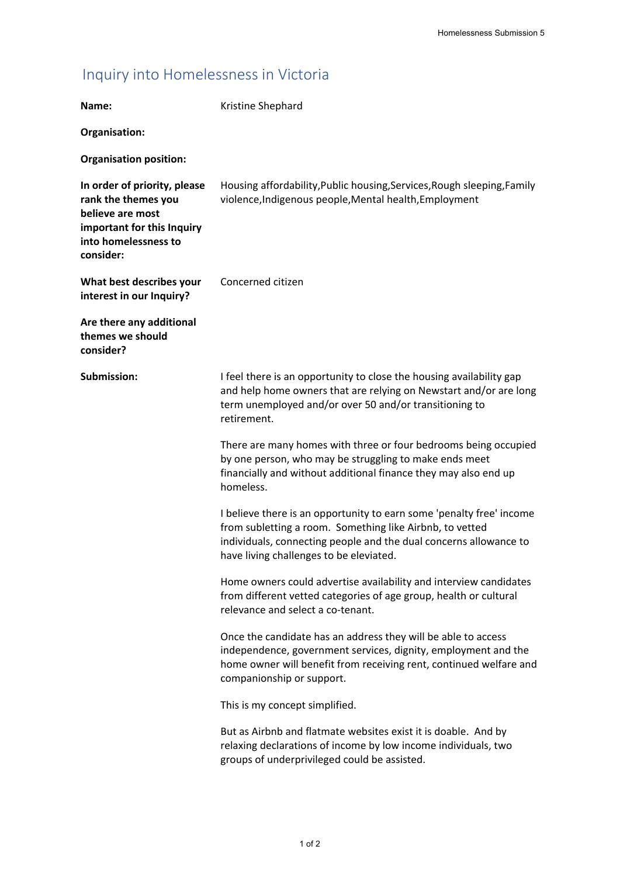## Inquiry into Homelessness in Victoria

| Name:                                                                                                                                      | Kristine Shephard                                                                                                                                                                                                                                |
|--------------------------------------------------------------------------------------------------------------------------------------------|--------------------------------------------------------------------------------------------------------------------------------------------------------------------------------------------------------------------------------------------------|
| Organisation:                                                                                                                              |                                                                                                                                                                                                                                                  |
| <b>Organisation position:</b>                                                                                                              |                                                                                                                                                                                                                                                  |
| In order of priority, please<br>rank the themes you<br>believe are most<br>important for this Inquiry<br>into homelessness to<br>consider: | Housing affordability, Public housing, Services, Rough sleeping, Family<br>violence, Indigenous people, Mental health, Employment                                                                                                                |
| What best describes your<br>interest in our Inquiry?                                                                                       | Concerned citizen                                                                                                                                                                                                                                |
| Are there any additional<br>themes we should<br>consider?                                                                                  |                                                                                                                                                                                                                                                  |
| Submission:                                                                                                                                | I feel there is an opportunity to close the housing availability gap<br>and help home owners that are relying on Newstart and/or are long<br>term unemployed and/or over 50 and/or transitioning to<br>retirement.                               |
|                                                                                                                                            | There are many homes with three or four bedrooms being occupied<br>by one person, who may be struggling to make ends meet<br>financially and without additional finance they may also end up<br>homeless.                                        |
|                                                                                                                                            | I believe there is an opportunity to earn some 'penalty free' income<br>from subletting a room. Something like Airbnb, to vetted<br>individuals, connecting people and the dual concerns allowance to<br>have living challenges to be eleviated. |
|                                                                                                                                            | Home owners could advertise availability and interview candidates<br>from different vetted categories of age group, health or cultural<br>relevance and select a co-tenant.                                                                      |
|                                                                                                                                            | Once the candidate has an address they will be able to access<br>independence, government services, dignity, employment and the<br>home owner will benefit from receiving rent, continued welfare and<br>companionship or support.               |
|                                                                                                                                            | This is my concept simplified.                                                                                                                                                                                                                   |
|                                                                                                                                            | But as Airbnb and flatmate websites exist it is doable. And by<br>relaxing declarations of income by low income individuals, two<br>groups of underprivileged could be assisted.                                                                 |